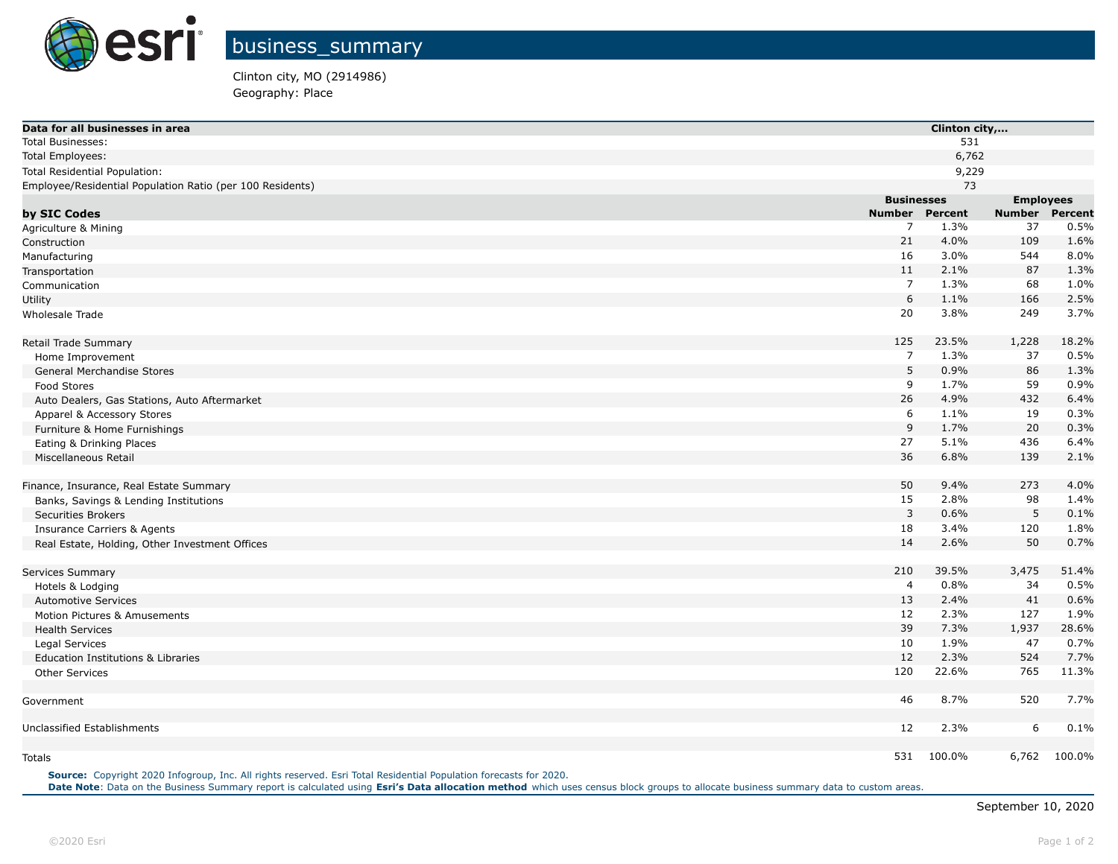

Clinton city, MO (2914986) Geography: Place

| Data for all businesses in area                           |                       | Clinton city,    |                |  |  |
|-----------------------------------------------------------|-----------------------|------------------|----------------|--|--|
| <b>Total Businesses:</b>                                  |                       | 531              |                |  |  |
| Total Employees:                                          |                       | 6,762            |                |  |  |
| Total Residential Population:                             |                       | 9,229            |                |  |  |
| Employee/Residential Population Ratio (per 100 Residents) |                       | 73               |                |  |  |
|                                                           | <b>Businesses</b>     | <b>Employees</b> |                |  |  |
| by SIC Codes                                              | <b>Number Percent</b> | <b>Number</b>    | <b>Percent</b> |  |  |
| Agriculture & Mining                                      | 7                     | 1.3%<br>37       | 0.5%           |  |  |
| Construction                                              | 21                    | 4.0%<br>109      | 1.6%           |  |  |
| Manufacturing                                             | 16                    | 3.0%<br>544      | 8.0%           |  |  |
| Transportation                                            | 11                    | 2.1%<br>87       | 1.3%           |  |  |
| Communication                                             | 7                     | 68<br>1.3%       | 1.0%           |  |  |
| Utility                                                   | 6                     | 1.1%<br>166      | 2.5%           |  |  |
| <b>Wholesale Trade</b>                                    | 20                    | 3.8%<br>249      | 3.7%           |  |  |
| Retail Trade Summary                                      | 125                   | 23.5%<br>1,228   | 18.2%          |  |  |
| Home Improvement                                          | $\overline{7}$        | 1.3%<br>37       | 0.5%           |  |  |
| General Merchandise Stores                                | 5                     | 0.9%<br>86       | 1.3%           |  |  |
| Food Stores                                               | 9                     | 1.7%<br>59       | 0.9%           |  |  |
| Auto Dealers, Gas Stations, Auto Aftermarket              | 26                    | 4.9%<br>432      | 6.4%           |  |  |
| Apparel & Accessory Stores                                | 6                     | 1.1%<br>19       | 0.3%           |  |  |
| Furniture & Home Furnishings                              | 9                     | 1.7%<br>20       | 0.3%           |  |  |
| Eating & Drinking Places                                  | 27                    | 5.1%<br>436      | 6.4%           |  |  |
| Miscellaneous Retail                                      | 36                    | 6.8%<br>139      | 2.1%           |  |  |
| Finance, Insurance, Real Estate Summary                   | 50                    | 273<br>9.4%      | 4.0%           |  |  |
| Banks, Savings & Lending Institutions                     | 15                    | 2.8%<br>98       | 1.4%           |  |  |
| <b>Securities Brokers</b>                                 | 3                     | 5<br>0.6%        | 0.1%           |  |  |
| <b>Insurance Carriers &amp; Agents</b>                    | 18                    | 3.4%<br>120      | 1.8%           |  |  |
| Real Estate, Holding, Other Investment Offices            | 14                    | 50<br>2.6%       | 0.7%           |  |  |
| Services Summary                                          | 210                   | 39.5%<br>3,475   | 51.4%          |  |  |
| Hotels & Lodging                                          | 4                     | 0.8%<br>34       | 0.5%           |  |  |
| <b>Automotive Services</b>                                | 13                    | 2.4%<br>41       | 0.6%           |  |  |
| Motion Pictures & Amusements                              | 12                    | 2.3%<br>127      | 1.9%           |  |  |
| <b>Health Services</b>                                    | 39                    | 7.3%<br>1,937    | 28.6%          |  |  |
| Legal Services                                            | 10                    | 1.9%<br>47       | 0.7%           |  |  |
| Education Institutions & Libraries                        | 12                    | 2.3%<br>524      | 7.7%           |  |  |
| <b>Other Services</b>                                     | 120                   | 22.6%<br>765     | 11.3%          |  |  |
| Government                                                | 46                    | 8.7%<br>520      | 7.7%           |  |  |
| Unclassified Establishments                               | 12                    | 2.3%<br>6        | 0.1%           |  |  |
|                                                           |                       |                  |                |  |  |
| Totals                                                    | 531 100.0%            |                  | 6,762 100.0%   |  |  |

**Source:** Copyright 2020 Infogroup, Inc. All rights reserved. Esri Total Residential Population forecasts for 2020. **Date Note**: Data on the Business Summary report is calculated using **[Esri's Data allocation method](http://doc.arcgis.com/en/esri-demographics/reference/data-allocation-method.htm)** which uses census block groups to allocate business summary data to custom areas.